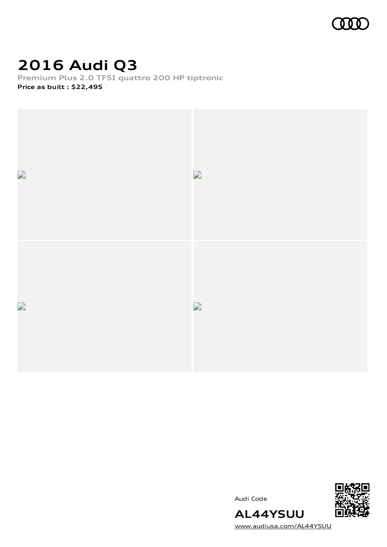

# **2016 Audi Q3**

**Premium Plus 2.0 TFSI quattro 200 HP tiptronic Price as built [:](#page-9-0) \$22,495**



Audi Code



[www.audiusa.com/AL44YSUU](https://www.audiusa.com/AL44YSUU)

**AL44YSUU**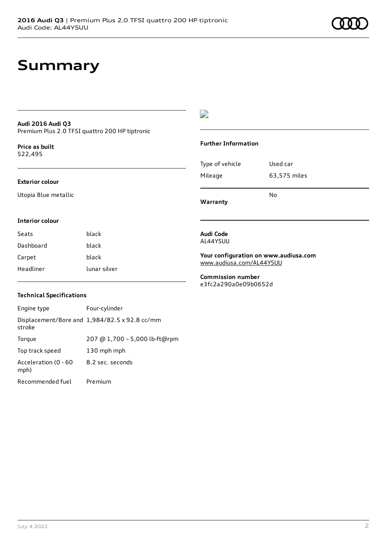## **Summary**

### **Audi 2016 Audi Q3** Premium Plus 2.0 TFSI quattro 200 HP tiptronic

**Price as buil[t](#page-9-0)** \$22,495

#### **Exterior colour**

**Interior colour**

Utopia Blue metallic

### $\overline{\phantom{a}}$

#### **Further Information**

|                 | N٥           |  |
|-----------------|--------------|--|
| Mileage         | 63,575 miles |  |
| Type of vehicle | Used car     |  |

**Warranty**

Seats **black** Dashboard black Carpet black Headliner lunar silver

### AL44YSUU

**Audi Code**

**Your configuration on www.audiusa.com** [www.audiusa.com/AL44YSUU](https://www.audiusa.com/AL44YSUU)

**Commission number** e3fc2a290a0e09b0652d

### **Technical Specifications**

| Engine type                  | Four-cylinder                                 |
|------------------------------|-----------------------------------------------|
| stroke                       | Displacement/Bore and 1,984/82.5 x 92.8 cc/mm |
| Torque                       | 207 @ 1,700 - 5,000 lb-ft@rpm                 |
| Top track speed              | 130 mph mph                                   |
| Acceleration (0 - 60<br>mph) | 8.2 sec. seconds                              |
| Recommended fuel             | Premium                                       |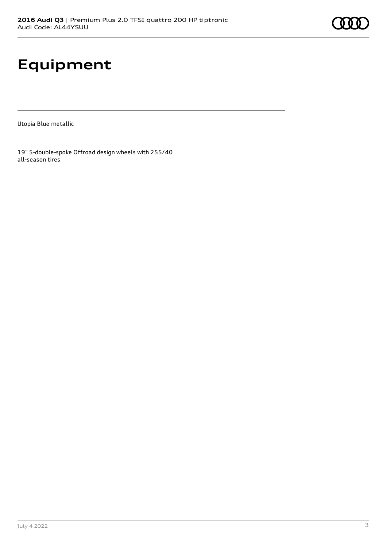# **Equipment**

Utopia Blue metallic

19" 5-double-spoke Offroad design wheels with 255/40 all-season tires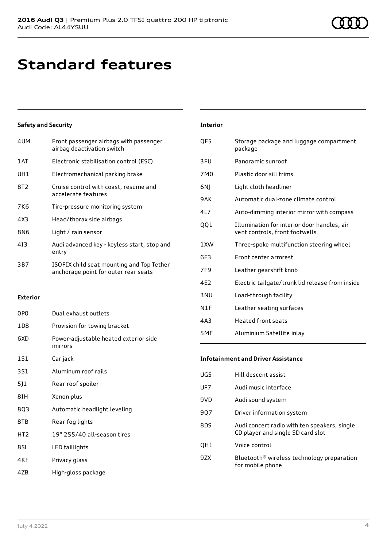## **Standard features**

### **Safety and Security**

| 4UM             | Front passenger airbags with passenger<br>airbag deactivation switch              |
|-----------------|-----------------------------------------------------------------------------------|
| 1 AT            | Electronic stabilisation control (ESC)                                            |
| UH1             | Electromechanical parking brake                                                   |
| 8T <sub>2</sub> | Cruise control with coast, resume and<br>accelerate features                      |
| 7K6             | Tire-pressure monitoring system                                                   |
| 4X3             | Head/thorax side airbags                                                          |
| 8N6             | Light / rain sensor                                                               |
| 413             | Audi advanced key - keyless start, stop and<br>entry                              |
| 3B7             | ISOFIX child seat mounting and Top Tether<br>anchorage point for outer rear seats |

#### **Exterior**

| 0PO   | Dual exhaust outlets                             |
|-------|--------------------------------------------------|
| 1 D 8 | Provision for towing bracket                     |
| 6XD   | Power-adjustable heated exterior side<br>mirrors |
| 151   | Car jack                                         |
| 3S1   | Aluminum roof rails                              |
| 5]1   | Rear roof spoiler                                |
| 8IH   | Xenon plus                                       |
| 8Q3   | Automatic headlight leveling                     |
| 8TB   | Rear fog lights                                  |
| HT2   | 19" 255/40 all-season tires                      |
| 8SL   | LED taillights                                   |
| 4KF   | Privacy glass                                    |
| 47B   | High-gloss package                               |

| <b>Interior</b> |                                                                               |
|-----------------|-------------------------------------------------------------------------------|
| QE5             | Storage package and luggage compartment<br>package                            |
| 3FU             | Panoramic sunroof                                                             |
| 7M <sub>0</sub> | Plastic door sill trims                                                       |
| 6N)             | Light cloth headliner                                                         |
| 9AK             | Automatic dual-zone climate control                                           |
| 4L7             | Auto-dimming interior mirror with compass                                     |
| QQ1             | Illumination for interior door handles, air<br>vent controls, front footwells |
| 1XW             | Three-spoke multifunction steering wheel                                      |
| 6E3             | Front center armrest                                                          |
| 7F9             | Leather gearshift knob                                                        |
| 4E2             | Electric tailgate/trunk lid release from inside                               |
| 3 <sub>NU</sub> | Load-through facility                                                         |
| N1F             | Leather seating surfaces                                                      |
| 4A3             | <b>Heated front seats</b>                                                     |
| 5MF             | Aluminium Satellite inlay                                                     |

### **Infotainment and Driver Assistance**

| UG5 | Hill descent assist                                                               |
|-----|-----------------------------------------------------------------------------------|
| UF7 | Audi music interface                                                              |
| 9VD | Audi sound system                                                                 |
| 907 | Driver information system                                                         |
| 8DS | Audi concert radio with ten speakers, single<br>CD player and single SD card slot |
| OH1 | Voice control                                                                     |
| 9ZX | Bluetooth <sup>®</sup> wireless technology preparation<br>for mobile phone        |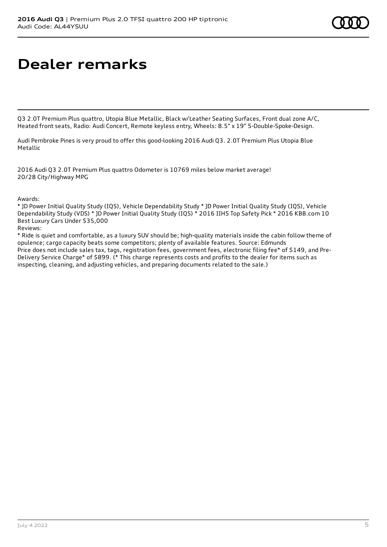## **Dealer remarks**

Q3 2.0T Premium Plus quattro, Utopia Blue Metallic, Black w/Leather Seating Surfaces, Front dual zone A/C, Heated front seats, Radio: Audi Concert, Remote keyless entry, Wheels: 8.5" x 19" 5-Double-Spoke-Design.

Audi Pembroke Pines is very proud to offer this good-looking 2016 Audi Q3. 2.0T Premium Plus Utopia Blue Metallic

2016 Audi Q3 2.0T Premium Plus quattro Odometer is 10769 miles below market average! 20/28 City/Highway MPG

Awards:

\* JD Power Initial Quality Study (IQS), Vehicle Dependability Study \* JD Power Initial Quality Study (IQS), Vehicle Dependability Study (VDS) \* JD Power Initial Quality Study (IQS) \* 2016 IIHS Top Safety Pick \* 2016 KBB.com 10 Best Luxury Cars Under \$35,000

Reviews:

\* Ride is quiet and comfortable, as a luxury SUV should be; high-quality materials inside the cabin follow theme of opulence; cargo capacity beats some competitors; plenty of available features. Source: Edmunds Price does not include sales tax, tags, registration fees, government fees, electronic filing fee\* of \$149, and Pre-Delivery Service Charge\* of \$899. (\* This charge represents costs and profits to the dealer for items such as inspecting, cleaning, and adjusting vehicles, and preparing documents related to the sale.)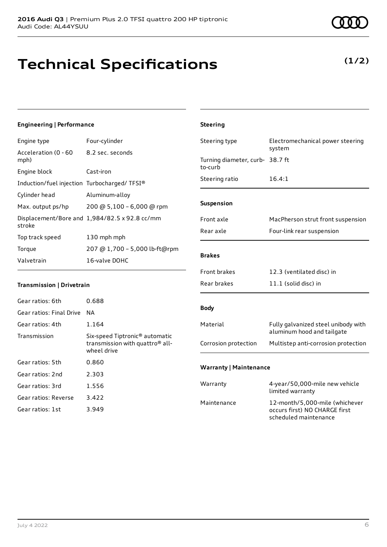# **Technical Specifications**

July 4 2022 6

### **Engineering | Performance**

Engine type Four-cylinder

| Acceleration (0 - 60<br>mph)                | 8.2 sec. seconds                              |
|---------------------------------------------|-----------------------------------------------|
| Engine block                                | Cast-iron                                     |
| Induction/fuel injection Turbocharged/TFSI® |                                               |
| Cylinder head                               | Aluminum-alloy                                |
| Max. output ps/hp                           | 200 @ 5,100 - 6,000 @ rpm                     |
| stroke                                      | Displacement/Bore and 1,984/82.5 x 92.8 cc/mm |
| Top track speed                             | 130 mph mph                                   |
| Torque                                      | 207 @ 1,700 - 5,000 lb-ft@rpm                 |
| Valvetrain                                  | 16-valve DOHC                                 |

### **Transmission | Drivetrain**

| Gear ratios: 6th         | 0.688                                                                                                    |
|--------------------------|----------------------------------------------------------------------------------------------------------|
| Gear ratios: Final Drive | NА                                                                                                       |
| Gear ratios: 4th         | 1.164                                                                                                    |
| Transmission             | Six-speed Tiptronic <sup>®</sup> automatic<br>transmission with quattro <sup>®</sup> all-<br>wheel drive |
| Gear ratios: 5th         | 0.860                                                                                                    |
| Gear ratios: 2nd         | 2.303                                                                                                    |
| Gear ratios: 3rd         | 1.556                                                                                                    |
| Gear ratios: Reverse     | 3.422                                                                                                    |
| Gear ratios: 1st         | 3.949                                                                                                    |

| Steering type                              | Electromechanical power steering<br>system                        |
|--------------------------------------------|-------------------------------------------------------------------|
| Turning diameter, curb- 38.7 ft<br>to-curb |                                                                   |
| Steering ratio                             | 16.4:1                                                            |
|                                            |                                                                   |
| <b>Suspension</b>                          |                                                                   |
| Front axle                                 | MacPherson strut front suspension                                 |
| Rear axle                                  | Four-link rear suspension                                         |
|                                            |                                                                   |
| <b>Brakes</b>                              |                                                                   |
| Front brakes                               | 12.3 (ventilated disc) in                                         |
| Rear brakes                                | 11.1 (solid disc) in                                              |
|                                            |                                                                   |
| <b>Body</b>                                |                                                                   |
| Material                                   | Fully galvanized steel unibody with<br>aluminum hood and tailgate |
| Corrosion protection                       | Multistep anti-corrosion protection                               |
|                                            |                                                                   |
| <b>Warranty   Maintenance</b>              |                                                                   |
| Warranty                                   | 4-year/50,000-mile new vehicle<br>limited warranty                |
| Maintenance                                | 12-month/5,000-mile (whichever<br>occurs first) NO CHARGE first   |

scheduled maintenance

**Steering**

### **(1/2)**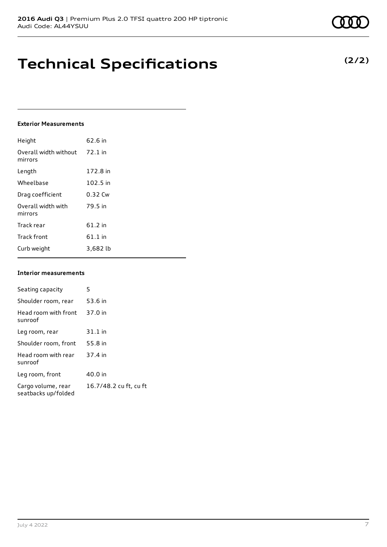## **Technical Specifications**

#### **Exterior Measurements**

| Height                           | 62.6 in   |
|----------------------------------|-----------|
| Overall width without<br>mirrors | $72.1$ in |
| Length                           | 172.8 in  |
| Wheelbase                        | 102.5 in  |
| Drag coefficient                 | 0.32 Cw   |
| Overall width with<br>mirrors    | 79.5 in   |
| Track rear                       | $61.2$ in |
| <b>Track front</b>               | $61.1$ in |
| Curb weight                      | 3,682 lb  |

### **Interior measurements**

| Seating capacity                          | 5                      |
|-------------------------------------------|------------------------|
| Shoulder room, rear                       | 53.6 in                |
| Head room with front<br>sunroof           | 37.0 in                |
| Leg room, rear                            | $31.1$ in              |
| Shoulder room, front                      | 55.8 in                |
| Head room with rear<br>sunroof            | 37.4 in                |
| Leg room, front                           | 40.0 in                |
| Cargo volume, rear<br>seatbacks up/folded | 16.7/48.2 cu ft, cu ft |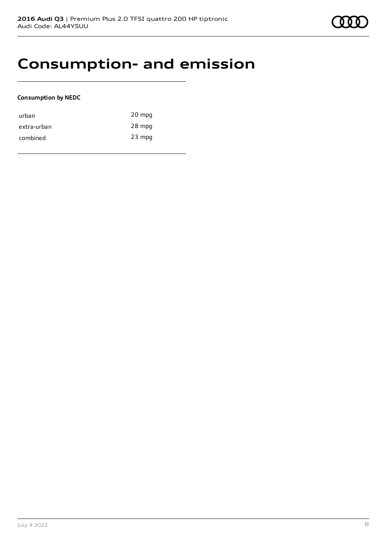### **Consumption- and emission**

### **Consumption by NEDC**

| urban       | 20 mpg   |
|-------------|----------|
| extra-urban | 28 mpg   |
| combined    | $23$ mpg |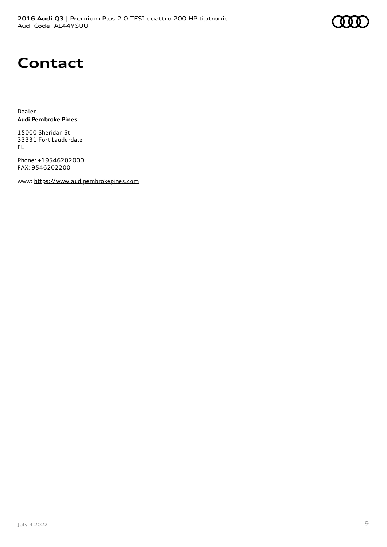

### **Contact**

Dealer **Audi Pembroke Pines**

15000 Sheridan St 33331 Fort Lauderdale FL

Phone: +19546202000 FAX: 9546202200

www: [https://www.audipembrokepines.com](https://www.audipembrokepines.com/)